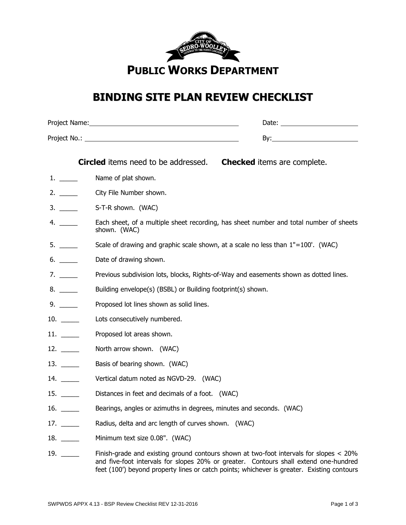

## **BINDING SITE PLAN REVIEW CHECKLIST**

|                                       | <b>Circled</b> items need to be addressed.                          | <b>Checked</b> items are complete.                                                                                                                                             |  |
|---------------------------------------|---------------------------------------------------------------------|--------------------------------------------------------------------------------------------------------------------------------------------------------------------------------|--|
|                                       | Name of plat shown.                                                 |                                                                                                                                                                                |  |
| 2.                                    | City File Number shown.                                             |                                                                                                                                                                                |  |
| 3.                                    | S-T-R shown. (WAC)                                                  |                                                                                                                                                                                |  |
| 4. $\qquad$                           | shown. (WAC)                                                        | Each sheet, of a multiple sheet recording, has sheet number and total number of sheets                                                                                         |  |
|                                       |                                                                     | Scale of drawing and graphic scale shown, at a scale no less than $1"=100'$ . (WAC)                                                                                            |  |
|                                       | Date of drawing shown.                                              |                                                                                                                                                                                |  |
| 7.                                    |                                                                     | Previous subdivision lots, blocks, Rights-of-Way and easements shown as dotted lines.                                                                                          |  |
|                                       |                                                                     | Building envelope(s) (BSBL) or Building footprint(s) shown.                                                                                                                    |  |
|                                       | Proposed lot lines shown as solid lines.                            |                                                                                                                                                                                |  |
|                                       | Lots consecutively numbered.                                        |                                                                                                                                                                                |  |
| 11.                                   | Proposed lot areas shown.                                           |                                                                                                                                                                                |  |
| $12. \_$                              | North arrow shown. (WAC)                                            |                                                                                                                                                                                |  |
| $13. \_$                              | Basis of bearing shown. (WAC)                                       |                                                                                                                                                                                |  |
|                                       | Vertical datum noted as NGVD-29. (WAC)                              |                                                                                                                                                                                |  |
| $15. \_$                              | Distances in feet and decimals of a foot. (WAC)                     |                                                                                                                                                                                |  |
| 16. $\frac{1}{\sqrt{1-\frac{1}{2}}}\$ | Bearings, angles or azimuths in degrees, minutes and seconds. (WAC) |                                                                                                                                                                                |  |
| $17. \ \_$                            | Radius, delta and arc length of curves shown. (WAC)                 |                                                                                                                                                                                |  |
| $18. \ \_$                            | Minimum text size 0.08". (WAC)                                      |                                                                                                                                                                                |  |
| 19.                                   |                                                                     | Finish-grade and existing ground contours shown at two-foot intervals for slopes < 20%<br>and five-foot intervals for slopes 20% or greater. Contours shall extend one-hundred |  |

feet (100') beyond property lines or catch points; whichever is greater. Existing contours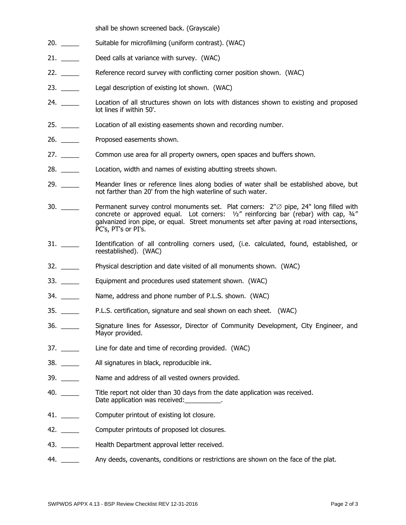shall be shown screened back. (Grayscale)

- 20. \_\_\_\_\_\_\_\_\_ Suitable for microfilming (uniform contrast). (WAC)
- 21. \_\_\_\_\_\_\_ Deed calls at variance with survey. (WAC)
- 22. \_\_\_\_\_ Reference record survey with conflicting corner position shown. (WAC)
- 23. \_\_\_\_\_\_ Legal description of existing lot shown. (WAC)
- 24. \_\_\_\_\_ Location of all structures shown on lots with distances shown to existing and proposed lot lines if within 50'.
- 25. Location of all existing easements shown and recording number.
- 26. **Example 26.** Proposed easements shown.
- 27. \_\_\_\_\_ Common use area for all property owners, open spaces and buffers shown.
- 28. \_\_\_\_\_ Location, width and names of existing abutting streets shown.
- 29. \_\_\_\_\_ Meander lines or reference lines along bodies of water shall be established above, but not farther than 20' from the high waterline of such water.
- 30.  $\_\_\_\_\_\_\$  Permanent survey control monuments set. Plat corners:  $2\%$  pipe, 24" long filled with concrete or approved equal. Lot corners: ½" reinforcing bar (rebar) with cap, ¾" galvanized iron pipe, or equal. Street monuments set after paving at road intersections, PC's, PT's or PI's.
- 31. \_\_\_\_\_ Identification of all controlling corners used, (i.e. calculated, found, established, or reestablished). (WAC)
- 32. \_\_\_\_\_ Physical description and date visited of all monuments shown. (WAC)
- 33. \_\_\_\_\_\_ Equipment and procedures used statement shown. (WAC)
- 34. \_\_\_\_\_\_\_\_\_\_\_\_\_\_ Name, address and phone number of P.L.S. shown. (WAC)
- 35. \_\_\_\_\_ P.L.S. certification, signature and seal shown on each sheet. (WAC)
- 36. \_\_\_\_\_ Signature lines for Assessor, Director of Community Development, City Engineer, and Mayor provided.
- 37. \_\_\_\_\_\_\_ Line for date and time of recording provided. (WAC)
- 38. \_\_\_\_\_ All signatures in black, reproducible ink.
- 39. \_\_\_\_\_ Name and address of all vested owners provided.
- 40. \_\_\_\_\_ Title report not older than 30 days from the date application was received. Date application was received:
- 41. \_\_\_\_\_\_ Computer printout of existing lot closure.
- 42. \_\_\_\_\_\_\_ Computer printouts of proposed lot closures.
- 43. \_\_\_\_\_\_\_ Health Department approval letter received.
- 44. \_\_\_\_\_ Any deeds, covenants, conditions or restrictions are shown on the face of the plat.